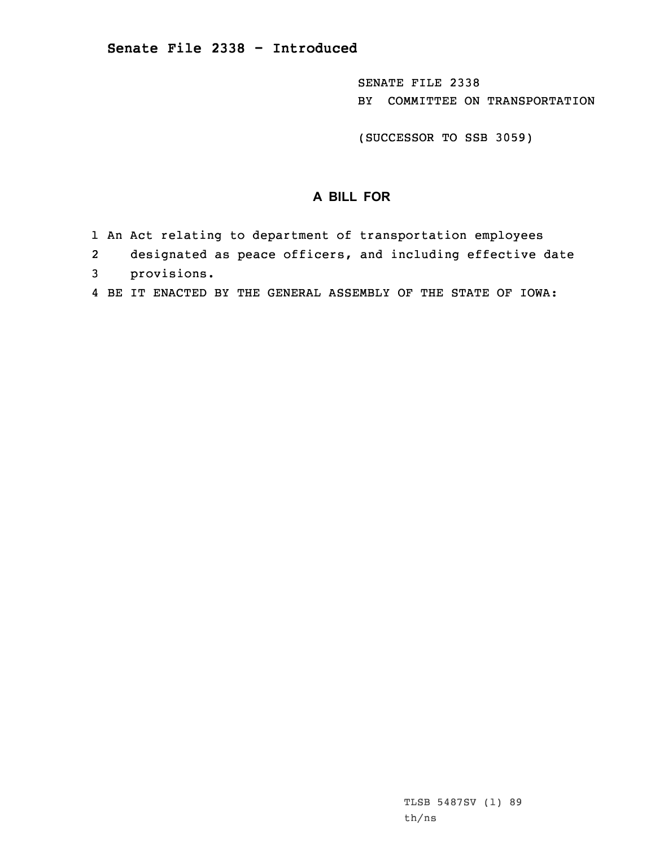SENATE FILE 2338 BY COMMITTEE ON TRANSPORTATION

(SUCCESSOR TO SSB 3059)

## **A BILL FOR**

- 1 An Act relating to department of transportation employees
- 2designated as peace officers, and including effective date
- 3 provisions.
- 4 BE IT ENACTED BY THE GENERAL ASSEMBLY OF THE STATE OF IOWA: